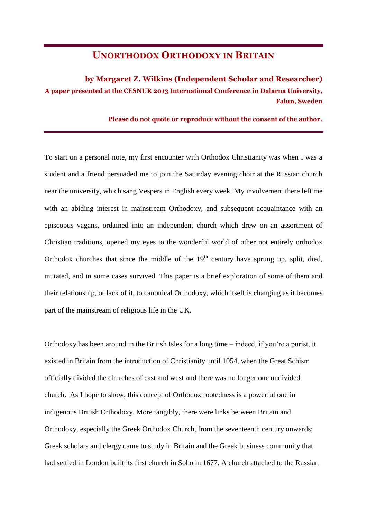## **UNORTHODOX ORTHODOXY IN BRITAIN**

## **by Margaret Z. Wilkins (Independent Scholar and Researcher) A paper presented at the CESNUR 2013 International Conference in Dalarna University, Falun, Sweden**

**Please do not quote or reproduce without the consent of the author.**

To start on a personal note, my first encounter with Orthodox Christianity was when I was a student and a friend persuaded me to join the Saturday evening choir at the Russian church near the university, which sang Vespers in English every week. My involvement there left me with an abiding interest in mainstream Orthodoxy, and subsequent acquaintance with an episcopus vagans, ordained into an independent church which drew on an assortment of Christian traditions, opened my eyes to the wonderful world of other not entirely orthodox Orthodox churches that since the middle of the  $19<sup>th</sup>$  century have sprung up, split, died, mutated, and in some cases survived. This paper is a brief exploration of some of them and their relationship, or lack of it, to canonical Orthodoxy, which itself is changing as it becomes part of the mainstream of religious life in the UK.

Orthodoxy has been around in the British Isles for a long time – indeed, if you're a purist, it existed in Britain from the introduction of Christianity until 1054, when the Great Schism officially divided the churches of east and west and there was no longer one undivided church. As I hope to show, this concept of Orthodox rootedness is a powerful one in indigenous British Orthodoxy. More tangibly, there were links between Britain and Orthodoxy, especially the Greek Orthodox Church, from the seventeenth century onwards; Greek scholars and clergy came to study in Britain and the Greek business community that had settled in London built its first church in Soho in 1677. A church attached to the Russian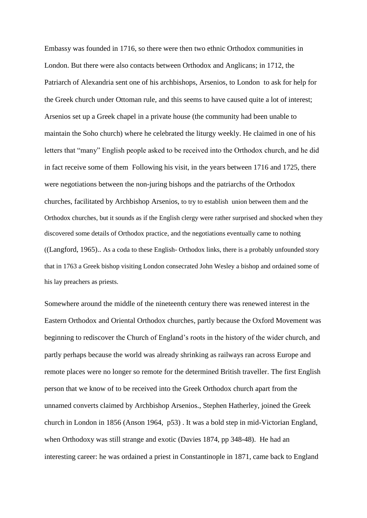Embassy was founded in 1716, so there were then two ethnic Orthodox communities in London. But there were also contacts between Orthodox and Anglicans; in 1712, the Patriarch of Alexandria sent one of his archbishops, Arsenios, to London to ask for help for the Greek church under Ottoman rule, and this seems to have caused quite a lot of interest; Arsenios set up a Greek chapel in a private house (the community had been unable to maintain the Soho church) where he celebrated the liturgy weekly. He claimed in one of his letters that "many" English people asked to be received into the Orthodox church, and he did in fact receive some of them Following his visit, in the years between 1716 and 1725, there were negotiations between the non-juring bishops and the patriarchs of the Orthodox churches, facilitated by Archbishop Arsenios, to try to establish union between them and the Orthodox churches, but it sounds as if the English clergy were rather surprised and shocked when they discovered some details of Orthodox practice, and the negotiations eventually came to nothing ((Langford, 1965).. As a coda to these English- Orthodox links, there is a probably unfounded story that in 1763 a Greek bishop visiting London consecrated John Wesley a bishop and ordained some of his lay preachers as priests.

Somewhere around the middle of the nineteenth century there was renewed interest in the Eastern Orthodox and Oriental Orthodox churches, partly because the Oxford Movement was beginning to rediscover the Church of England's roots in the history of the wider church, and partly perhaps because the world was already shrinking as railways ran across Europe and remote places were no longer so remote for the determined British traveller. The first English person that we know of to be received into the Greek Orthodox church apart from the unnamed converts claimed by Archbishop Arsenios., Stephen Hatherley, joined the Greek church in London in 1856 (Anson 1964, p53) . It was a bold step in mid-Victorian England, when Orthodoxy was still strange and exotic (Davies 1874, pp 348-48). He had an interesting career: he was ordained a priest in Constantinople in 1871, came back to England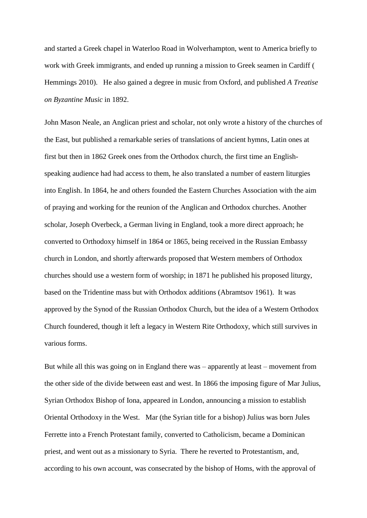and started a Greek chapel in Waterloo Road in Wolverhampton, went to America briefly to work with Greek immigrants, and ended up running a mission to Greek seamen in Cardiff ( Hemmings 2010). He also gained a degree in music from Oxford, and published *A Treatise on Byzantine Music* in 1892.

John Mason Neale, an Anglican priest and scholar, not only wrote a history of the churches of the East, but published a remarkable series of translations of ancient hymns, Latin ones at first but then in 1862 Greek ones from the Orthodox church, the first time an Englishspeaking audience had had access to them, he also translated a number of eastern liturgies into English. In 1864, he and others founded the Eastern Churches Association with the aim of praying and working for the reunion of the Anglican and Orthodox churches. Another scholar, Joseph Overbeck, a German living in England, took a more direct approach; he converted to Orthodoxy himself in 1864 or 1865, being received in the Russian Embassy church in London, and shortly afterwards proposed that Western members of Orthodox churches should use a western form of worship; in 1871 he published his proposed liturgy, based on the Tridentine mass but with Orthodox additions (Abramtsov 1961). It was approved by the Synod of the Russian Orthodox Church, but the idea of a Western Orthodox Church foundered, though it left a legacy in Western Rite Orthodoxy, which still survives in various forms.

But while all this was going on in England there was – apparently at least – movement from the other side of the divide between east and west. In 1866 the imposing figure of Mar Julius, Syrian Orthodox Bishop of Iona, appeared in London, announcing a mission to establish Oriental Orthodoxy in the West. Mar (the Syrian title for a bishop) Julius was born Jules Ferrette into a French Protestant family, converted to Catholicism, became a Dominican priest, and went out as a missionary to Syria. There he reverted to Protestantism, and, according to his own account, was consecrated by the bishop of Homs, with the approval of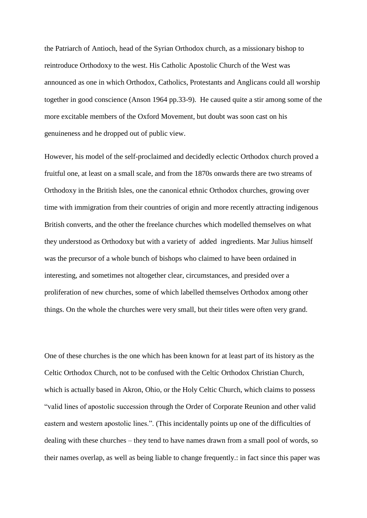the Patriarch of Antioch, head of the Syrian Orthodox church, as a missionary bishop to reintroduce Orthodoxy to the west. His Catholic Apostolic Church of the West was announced as one in which Orthodox, Catholics, Protestants and Anglicans could all worship together in good conscience (Anson 1964 pp.33-9). He caused quite a stir among some of the more excitable members of the Oxford Movement, but doubt was soon cast on his genuineness and he dropped out of public view.

However, his model of the self-proclaimed and decidedly eclectic Orthodox church proved a fruitful one, at least on a small scale, and from the 1870s onwards there are two streams of Orthodoxy in the British Isles, one the canonical ethnic Orthodox churches, growing over time with immigration from their countries of origin and more recently attracting indigenous British converts, and the other the freelance churches which modelled themselves on what they understood as Orthodoxy but with a variety of added ingredients. Mar Julius himself was the precursor of a whole bunch of bishops who claimed to have been ordained in interesting, and sometimes not altogether clear, circumstances, and presided over a proliferation of new churches, some of which labelled themselves Orthodox among other things. On the whole the churches were very small, but their titles were often very grand.

One of these churches is the one which has been known for at least part of its history as the Celtic Orthodox Church, not to be confused with the Celtic Orthodox Christian Church, which is actually based in Akron, Ohio, or the Holy Celtic Church, which claims to possess "valid lines of apostolic succession through the Order of Corporate Reunion and other valid eastern and western apostolic lines.". (This incidentally points up one of the difficulties of dealing with these churches – they tend to have names drawn from a small pool of words, so their names overlap, as well as being liable to change frequently.: in fact since this paper was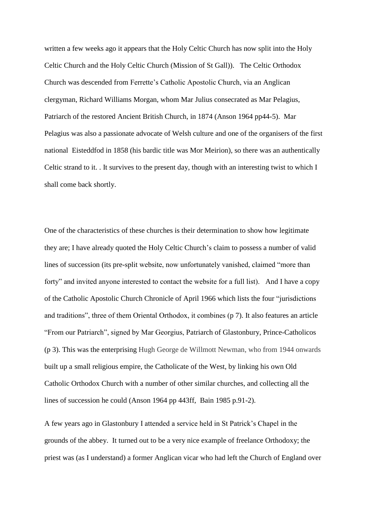written a few weeks ago it appears that the Holy Celtic Church has now split into the Holy Celtic Church and the Holy Celtic Church (Mission of St Gall)). The Celtic Orthodox Church was descended from Ferrette's Catholic Apostolic Church, via an Anglican clergyman, Richard Williams Morgan, whom Mar Julius consecrated as Mar Pelagius, Patriarch of the restored Ancient British Church, in 1874 (Anson 1964 pp44-5). Mar Pelagius was also a passionate advocate of Welsh culture and one of the organisers of the first national Eisteddfod in 1858 (his bardic title was Mor Meirion), so there was an authentically Celtic strand to it. . It survives to the present day, though with an interesting twist to which I shall come back shortly.

One of the characteristics of these churches is their determination to show how legitimate they are; I have already quoted the Holy Celtic Church's claim to possess a number of valid lines of succession (its pre-split website, now unfortunately vanished, claimed "more than forty" and invited anyone interested to contact the website for a full list). And I have a copy of the Catholic Apostolic Church Chronicle of April 1966 which lists the four "jurisdictions and traditions", three of them Oriental Orthodox, it combines (p 7). It also features an article "From our Patriarch", signed by Mar Georgius, Patriarch of Glastonbury, Prince-Catholicos (p 3). This was the enterprising Hugh George de Willmott Newman, who from 1944 onwards built up a small religious empire, the Catholicate of the West, by linking his own Old Catholic Orthodox Church with a number of other similar churches, and collecting all the lines of succession he could (Anson 1964 pp 443ff, Bain 1985 p.91-2).

A few years ago in Glastonbury I attended a service held in St Patrick's Chapel in the grounds of the abbey. It turned out to be a very nice example of freelance Orthodoxy; the priest was (as I understand) a former Anglican vicar who had left the Church of England over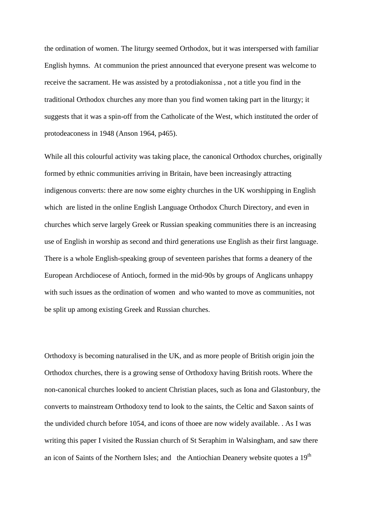the ordination of women. The liturgy seemed Orthodox, but it was interspersed with familiar English hymns. At communion the priest announced that everyone present was welcome to receive the sacrament. He was assisted by a protodiakonissa , not a title you find in the traditional Orthodox churches any more than you find women taking part in the liturgy; it suggests that it was a spin-off from the Catholicate of the West, which instituted the order of protodeaconess in 1948 (Anson 1964, p465).

While all this colourful activity was taking place, the canonical Orthodox churches, originally formed by ethnic communities arriving in Britain, have been increasingly attracting indigenous converts: there are now some eighty churches in the UK worshipping in English which are listed in the online English Language Orthodox Church Directory, and even in churches which serve largely Greek or Russian speaking communities there is an increasing use of English in worship as second and third generations use English as their first language. There is a whole English-speaking group of seventeen parishes that forms a deanery of the European Archdiocese of Antioch, formed in the mid-90s by groups of Anglicans unhappy with such issues as the ordination of women and who wanted to move as communities, not be split up among existing Greek and Russian churches.

Orthodoxy is becoming naturalised in the UK, and as more people of British origin join the Orthodox churches, there is a growing sense of Orthodoxy having British roots. Where the non-canonical churches looked to ancient Christian places, such as Iona and Glastonbury, the converts to mainstream Orthodoxy tend to look to the saints, the Celtic and Saxon saints of the undivided church before 1054, and icons of thoee are now widely available. . As I was writing this paper I visited the Russian church of St Seraphim in Walsingham, and saw there an icon of Saints of the Northern Isles; and the Antiochian Deanery website quotes a  $19<sup>th</sup>$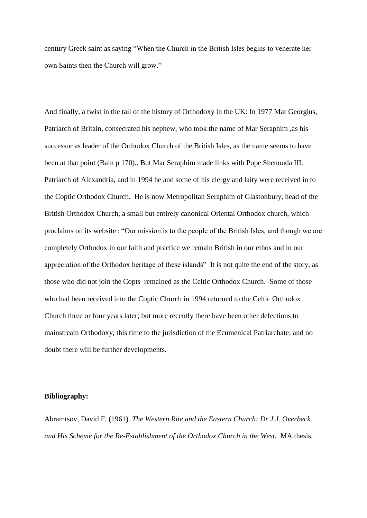century Greek saint as saying "When the Church in the British Isles begins to venerate her own Saints then the Church will grow."

And finally, a twist in the tail of the history of Orthodoxy in the UK: In 1977 Mar Georgius, Patriarch of Britain, consecrated his nephew, who took the name of Mar Seraphim ,as his successor as leader of the Orthodox Church of the British Isles, as the name seems to have been at that point (Bain p 170).. But Mar Seraphim made links with Pope Shenouda III, Patriarch of Alexandria, and in 1994 he and some of his clergy and laity were received in to the Coptic Orthodox Church. He is now Metropolitan Seraphim of Glastonbury, head of the British Orthodox Church, a small but entirely canonical Oriental Orthodox church, which proclaims on its website : "Our mission is to the people of the British Isles, and though we are completely Orthodox in our faith and practice we remain British in our ethos and in our appreciation of the Orthodox heritage of these islands" It is not quite the end of the story, as those who did not join the Copts remained as the Celtic Orthodox Church. Some of those who had been received into the Coptic Church in 1994 returned to the Celtic Orthodox Church three or four years later; but more recently there have been other defections to mainstream Orthodoxy, this time to the jurisdiction of the Ecumenical Patriarchate; and no doubt there will be further developments.

## **Bibliography:**

Abramtsov, David F. (1961). *The Western Rite and the Eastern Church: Dr J.J. Overbeck and His Scheme for the Re-Establishment of the Orthodox Church in the West.* MA thesis,